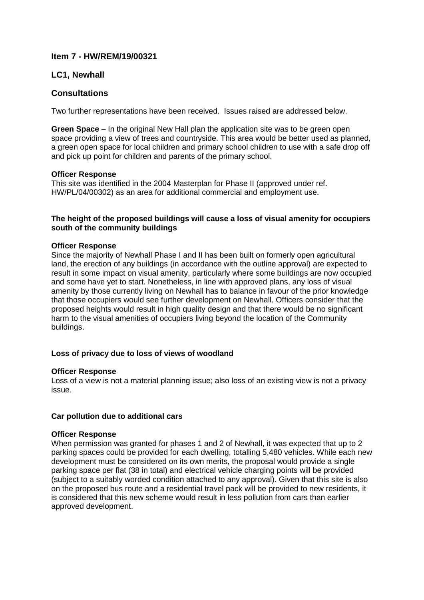# **Item 7 - HW/REM/19/00321**

# **LC1, Newhall**

# **Consultations**

Two further representations have been received. Issues raised are addressed below.

**Green Space** – In the original New Hall plan the application site was to be green open space providing a view of trees and countryside. This area would be better used as planned, a green open space for local children and primary school children to use with a safe drop off and pick up point for children and parents of the primary school.

## **Officer Response**

This site was identified in the 2004 Masterplan for Phase II (approved under ref. HW/PL/04/00302) as an area for additional commercial and employment use.

## **The height of the proposed buildings will cause a loss of visual amenity for occupiers south of the community buildings**

## **Officer Response**

Since the majority of Newhall Phase I and II has been built on formerly open agricultural land, the erection of any buildings (in accordance with the outline approval) are expected to result in some impact on visual amenity, particularly where some buildings are now occupied and some have yet to start. Nonetheless, in line with approved plans, any loss of visual amenity by those currently living on Newhall has to balance in favour of the prior knowledge that those occupiers would see further development on Newhall. Officers consider that the proposed heights would result in high quality design and that there would be no significant harm to the visual amenities of occupiers living beyond the location of the Community buildings.

# **Loss of privacy due to loss of views of woodland**

### **Officer Response**

Loss of a view is not a material planning issue; also loss of an existing view is not a privacy issue.

# **Car pollution due to additional cars**

### **Officer Response**

When permission was granted for phases 1 and 2 of Newhall, it was expected that up to 2 parking spaces could be provided for each dwelling, totalling 5,480 vehicles. While each new development must be considered on its own merits, the proposal would provide a single parking space per flat (38 in total) and electrical vehicle charging points will be provided (subject to a suitably worded condition attached to any approval). Given that this site is also on the proposed bus route and a residential travel pack will be provided to new residents, it is considered that this new scheme would result in less pollution from cars than earlier approved development.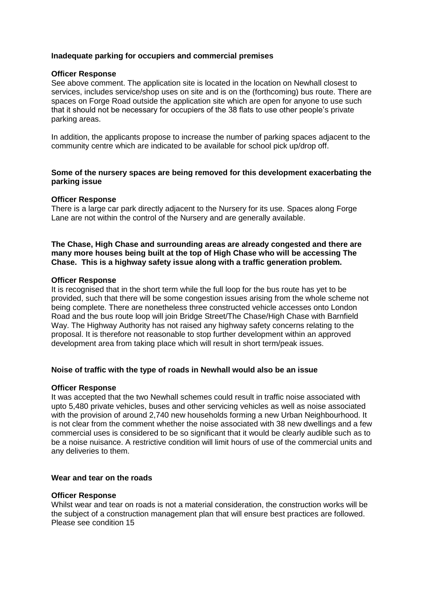## **Inadequate parking for occupiers and commercial premises**

### **Officer Response**

See above comment. The application site is located in the location on Newhall closest to services, includes service/shop uses on site and is on the (forthcoming) bus route. There are spaces on Forge Road outside the application site which are open for anyone to use such that it should not be necessary for occupiers of the 38 flats to use other people's private parking areas.

In addition, the applicants propose to increase the number of parking spaces adjacent to the community centre which are indicated to be available for school pick up/drop off.

## **Some of the nursery spaces are being removed for this development exacerbating the parking issue**

### **Officer Response**

There is a large car park directly adjacent to the Nursery for its use. Spaces along Forge Lane are not within the control of the Nursery and are generally available.

## **The Chase, High Chase and surrounding areas are already congested and there are many more houses being built at the top of High Chase who will be accessing The Chase. This is a highway safety issue along with a traffic generation problem.**

### **Officer Response**

It is recognised that in the short term while the full loop for the bus route has yet to be provided, such that there will be some congestion issues arising from the whole scheme not being complete. There are nonetheless three constructed vehicle accesses onto London Road and the bus route loop will join Bridge Street/The Chase/High Chase with Barnfield Way. The Highway Authority has not raised any highway safety concerns relating to the proposal. It is therefore not reasonable to stop further development within an approved development area from taking place which will result in short term/peak issues.

### **Noise of traffic with the type of roads in Newhall would also be an issue**

#### **Officer Response**

It was accepted that the two Newhall schemes could result in traffic noise associated with upto 5,480 private vehicles, buses and other servicing vehicles as well as noise associated with the provision of around 2,740 new households forming a new Urban Neighbourhood. It is not clear from the comment whether the noise associated with 38 new dwellings and a few commercial uses is considered to be so significant that it would be clearly audible such as to be a noise nuisance. A restrictive condition will limit hours of use of the commercial units and any deliveries to them.

### **Wear and tear on the roads**

#### **Officer Response**

Whilst wear and tear on roads is not a material consideration, the construction works will be the subject of a construction management plan that will ensure best practices are followed. Please see condition 15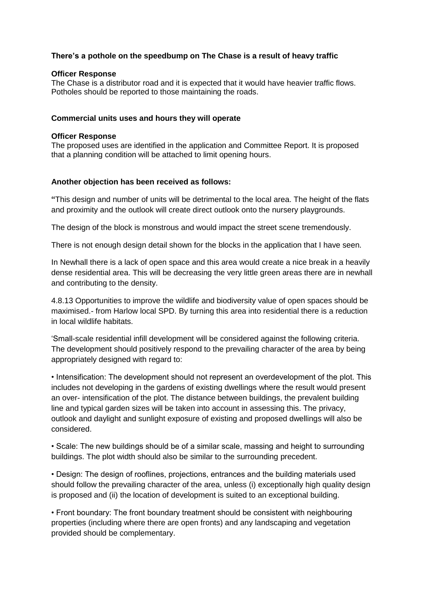# **There's a pothole on the speedbump on The Chase is a result of heavy traffic**

### **Officer Response**

The Chase is a distributor road and it is expected that it would have heavier traffic flows. Potholes should be reported to those maintaining the roads.

## **Commercial units uses and hours they will operate**

## **Officer Response**

The proposed uses are identified in the application and Committee Report. It is proposed that a planning condition will be attached to limit opening hours.

## **Another objection has been received as follows:**

**"**This design and number of units will be detrimental to the local area. The height of the flats and proximity and the outlook will create direct outlook onto the nursery playgrounds.

The design of the block is monstrous and would impact the street scene tremendously.

There is not enough design detail shown for the blocks in the application that I have seen.

In Newhall there is a lack of open space and this area would create a nice break in a heavily dense residential area. This will be decreasing the very little green areas there are in newhall and contributing to the density.

4.8.13 Opportunities to improve the wildlife and biodiversity value of open spaces should be maximised.- from Harlow local SPD. By turning this area into residential there is a reduction in local wildlife habitats.

'Small-scale residential infill development will be considered against the following criteria. The development should positively respond to the prevailing character of the area by being appropriately designed with regard to:

• Intensification: The development should not represent an overdevelopment of the plot. This includes not developing in the gardens of existing dwellings where the result would present an over- intensification of the plot. The distance between buildings, the prevalent building line and typical garden sizes will be taken into account in assessing this. The privacy, outlook and daylight and sunlight exposure of existing and proposed dwellings will also be considered.

• Scale: The new buildings should be of a similar scale, massing and height to surrounding buildings. The plot width should also be similar to the surrounding precedent.

• Design: The design of rooflines, projections, entrances and the building materials used should follow the prevailing character of the area, unless (i) exceptionally high quality design is proposed and (ii) the location of development is suited to an exceptional building.

• Front boundary: The front boundary treatment should be consistent with neighbouring properties (including where there are open fronts) and any landscaping and vegetation provided should be complementary.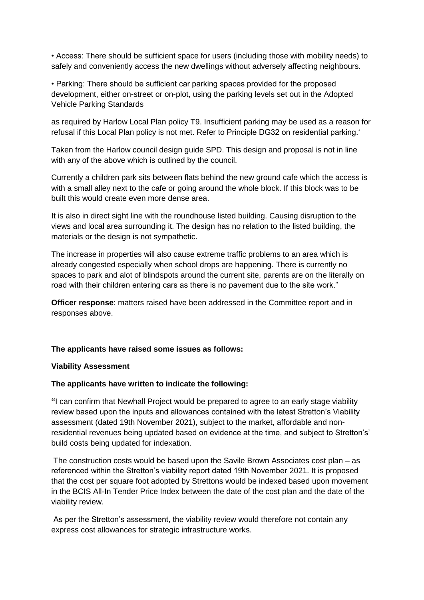• Access: There should be sufficient space for users (including those with mobility needs) to safely and conveniently access the new dwellings without adversely affecting neighbours.

• Parking: There should be sufficient car parking spaces provided for the proposed development, either on-street or on-plot, using the parking levels set out in the Adopted Vehicle Parking Standards

as required by Harlow Local Plan policy T9. Insufficient parking may be used as a reason for refusal if this Local Plan policy is not met. Refer to Principle DG32 on residential parking.'

Taken from the Harlow council design guide SPD. This design and proposal is not in line with any of the above which is outlined by the council.

Currently a children park sits between flats behind the new ground cafe which the access is with a small alley next to the cafe or going around the whole block. If this block was to be built this would create even more dense area.

It is also in direct sight line with the roundhouse listed building. Causing disruption to the views and local area surrounding it. The design has no relation to the listed building, the materials or the design is not sympathetic.

The increase in properties will also cause extreme traffic problems to an area which is already congested especially when school drops are happening. There is currently no spaces to park and alot of blindspots around the current site, parents are on the literally on road with their children entering cars as there is no pavement due to the site work."

**Officer response**: matters raised have been addressed in the Committee report and in responses above.

### **The applicants have raised some issues as follows:**

## **Viability Assessment**

### **The applicants have written to indicate the following:**

**"**I can confirm that Newhall Project would be prepared to agree to an early stage viability review based upon the inputs and allowances contained with the latest Stretton's Viability assessment (dated 19th November 2021), subject to the market, affordable and nonresidential revenues being updated based on evidence at the time, and subject to Stretton's' build costs being updated for indexation.

The construction costs would be based upon the Savile Brown Associates cost plan – as referenced within the Stretton's viability report dated 19th November 2021. It is proposed that the cost per square foot adopted by Strettons would be indexed based upon movement in the BCIS All-In Tender Price Index between the date of the cost plan and the date of the viability review.

As per the Stretton's assessment, the viability review would therefore not contain any express cost allowances for strategic infrastructure works.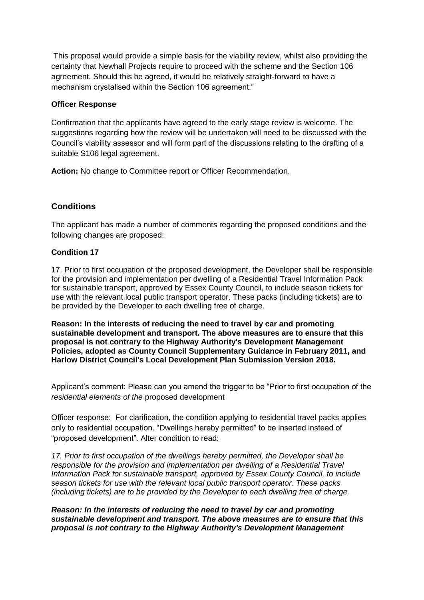This proposal would provide a simple basis for the viability review, whilst also providing the certainty that Newhall Projects require to proceed with the scheme and the Section 106 agreement. Should this be agreed, it would be relatively straight-forward to have a mechanism crystalised within the Section 106 agreement."

# **Officer Response**

Confirmation that the applicants have agreed to the early stage review is welcome. The suggestions regarding how the review will be undertaken will need to be discussed with the Council's viability assessor and will form part of the discussions relating to the drafting of a suitable S106 legal agreement.

**Action:** No change to Committee report or Officer Recommendation.

# **Conditions**

The applicant has made a number of comments regarding the proposed conditions and the following changes are proposed:

## **Condition 17**

17. Prior to first occupation of the proposed development, the Developer shall be responsible for the provision and implementation per dwelling of a Residential Travel Information Pack for sustainable transport, approved by Essex County Council, to include season tickets for use with the relevant local public transport operator. These packs (including tickets) are to be provided by the Developer to each dwelling free of charge.

**Reason: In the interests of reducing the need to travel by car and promoting sustainable development and transport. The above measures are to ensure that this proposal is not contrary to the Highway Authority's Development Management Policies, adopted as County Council Supplementary Guidance in February 2011, and Harlow District Council's Local Development Plan Submission Version 2018.**

Applicant's comment: Please can you amend the trigger to be "Prior to first occupation of the *residential elements of the* proposed development

Officer response: For clarification, the condition applying to residential travel packs applies only to residential occupation. "Dwellings hereby permitted" to be inserted instead of "proposed development". Alter condition to read:

*17. Prior to first occupation of the dwellings hereby permitted, the Developer shall be responsible for the provision and implementation per dwelling of a Residential Travel Information Pack for sustainable transport, approved by Essex County Council, to include season tickets for use with the relevant local public transport operator. These packs (including tickets) are to be provided by the Developer to each dwelling free of charge.*

*Reason: In the interests of reducing the need to travel by car and promoting sustainable development and transport. The above measures are to ensure that this proposal is not contrary to the Highway Authority's Development Management*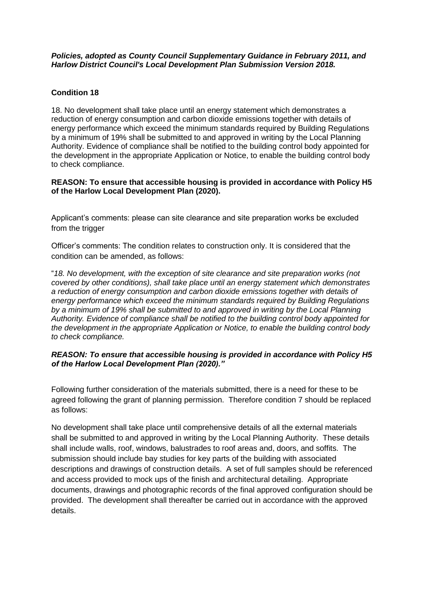## *Policies, adopted as County Council Supplementary Guidance in February 2011, and Harlow District Council's Local Development Plan Submission Version 2018.*

# **Condition 18**

18. No development shall take place until an energy statement which demonstrates a reduction of energy consumption and carbon dioxide emissions together with details of energy performance which exceed the minimum standards required by Building Regulations by a minimum of 19% shall be submitted to and approved in writing by the Local Planning Authority. Evidence of compliance shall be notified to the building control body appointed for the development in the appropriate Application or Notice, to enable the building control body to check compliance.

# **REASON: To ensure that accessible housing is provided in accordance with Policy H5 of the Harlow Local Development Plan (2020).**

Applicant's comments: please can site clearance and site preparation works be excluded from the trigger

Officer's comments: The condition relates to construction only. It is considered that the condition can be amended, as follows:

"*18. No development, with the exception of site clearance and site preparation works (not covered by other conditions), shall take place until an energy statement which demonstrates a reduction of energy consumption and carbon dioxide emissions together with details of energy performance which exceed the minimum standards required by Building Regulations by a minimum of 19% shall be submitted to and approved in writing by the Local Planning Authority. Evidence of compliance shall be notified to the building control body appointed for the development in the appropriate Application or Notice, to enable the building control body to check compliance.*

# *REASON: To ensure that accessible housing is provided in accordance with Policy H5 of the Harlow Local Development Plan (2020)."*

Following further consideration of the materials submitted, there is a need for these to be agreed following the grant of planning permission. Therefore condition 7 should be replaced as follows:

No development shall take place until comprehensive details of all the external materials shall be submitted to and approved in writing by the Local Planning Authority. These details shall include walls, roof, windows, balustrades to roof areas and, doors, and soffits. The submission should include bay studies for key parts of the building with associated descriptions and drawings of construction details. A set of full samples should be referenced and access provided to mock ups of the finish and architectural detailing. Appropriate documents, drawings and photographic records of the final approved configuration should be provided. The development shall thereafter be carried out in accordance with the approved details.